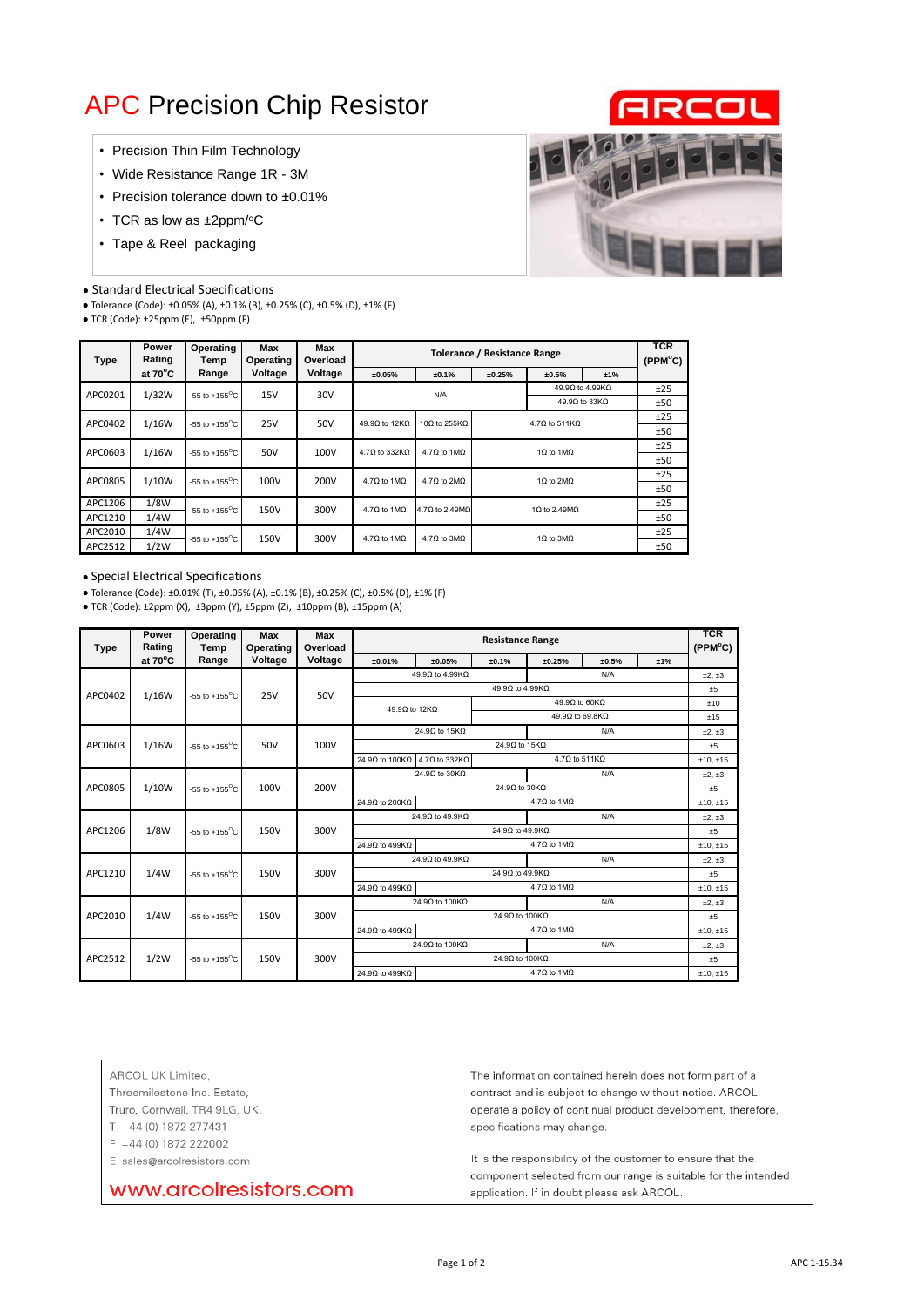# APC Precision Chip Resistor

- Precision Thin Film Technology
- Wide Resistance Range 1R 3M
- Precision tolerance down to ±0.01%
- TCR as low as ±2ppm/°C
- Tape & Reel packaging

#### ● Standard Electrical Specifications

● Tolerance (Code): ±0.05% (A), ±0.1% (B), ±0.25% (C), ±0.5% (D), ±1% (F)

● TCR (Code): ±25ppm (E), ±50ppm (F)



| Type    | Power<br>Rating   | Operating<br>Temp                 | <b>Max</b><br>Operating | Max<br>Overload |                              |                                  | <b>TCR</b><br>(PPM <sup>o</sup> C) |                                |     |     |
|---------|-------------------|-----------------------------------|-------------------------|-----------------|------------------------------|----------------------------------|------------------------------------|--------------------------------|-----|-----|
|         | at $70^{\circ}$ C | Range                             | Voltage                 | Voltage         | ±0.05%                       | ±0.25%<br>±0.1%                  |                                    | ±0.5%                          | ±1% |     |
| APC0201 | 1/32W             | $-55$ to $+155^{\circ}$ C         | 15V                     | 30V             | N/A                          |                                  |                                    | 49.9Ω to 4.99KΩ                |     | ±25 |
|         |                   |                                   |                         |                 |                              | 49.9Ω to 33KΩ                    |                                    |                                |     | ±50 |
| APC0402 | 1/16W             | $-55$ to $+155^{\circ}$ C         | <b>25V</b>              | 50V             | 49.9Ω to 12KΩ                | $10\Omega$ to 255KΩ              | $4.7\Omega$ to 511K $\Omega$       |                                |     | ±25 |
|         |                   |                                   |                         |                 |                              |                                  |                                    |                                |     | ±50 |
| APC0603 | 1/16W             | -55 to +155 $\mathrm{^{\circ}C}$  | 50V                     | 100V            | $4.7\Omega$ to 332K $\Omega$ | $4.7\Omega$ to 1M $\Omega$       | 1 $\Omega$ to 1M $\Omega$          |                                |     | ±25 |
|         |                   |                                   |                         |                 |                              |                                  |                                    |                                |     | ±50 |
| APC0805 | 1/10W             | $-55$ to $+155^{\circ}$ C         | 100V                    | 200V            | 4.70 to 1MO                  | $4.7\Omega$ to $2M\Omega$        | $1\Omega$ to $2M\Omega$            |                                |     | ±25 |
|         |                   |                                   |                         |                 |                              |                                  |                                    |                                |     | ±50 |
| APC1206 | 1/8W              | $-55$ to $+155^{\circ}$ C         | 150V                    | 300V            | 4.70 to 1MO                  | 4.7 $\Omega$ to 2.49M $\Omega$   | 1 $\Omega$ to 2.49M $\Omega$       |                                |     | ±25 |
| APC1210 | 1/4W              |                                   |                         |                 |                              |                                  |                                    |                                |     | ±50 |
| APC2010 | 1/4W              | 150V<br>$-55$ to $+155^{\circ}$ C |                         | 300V            | $4.7\Omega$ to 1M $\Omega$   | $4.7\Omega$ to $3\text{M}\Omega$ |                                    | $1\Omega$ to $3\text{M}\Omega$ |     | ±25 |
| APC2512 | 1/2W              |                                   |                         |                 |                              |                                  |                                    |                                |     | ±50 |

#### ● Special Electrical Specifications

● Tolerance (Code): ±0.01% (T), ±0.05% (A), ±0.1% (B), ±0.25% (C), ±0.5% (D), ±1% (F)

● TCR (Code): ±2ppm (X), ±3ppm (Y), ±5ppm (Z), ±10ppm (B), ±15ppm (A)

| Type    | Power<br>Rating | Operating<br>Temp         | <b>Max</b><br>Operating | Max<br>Overload                                              | <b>Resistance Range</b>                            |                              |                                  |                                  |            | <b>TCR</b><br>(PPM°C) |         |
|---------|-----------------|---------------------------|-------------------------|--------------------------------------------------------------|----------------------------------------------------|------------------------------|----------------------------------|----------------------------------|------------|-----------------------|---------|
|         | at 70°C         | Range                     | Voltage                 | Voltage                                                      | ±0.01%                                             | ±0.05%                       | ±0.1%                            | ±0.25%                           | ±0.5%      | ±1%                   |         |
|         |                 |                           | 25V                     | 50V                                                          | 49.9Ω to 4.99KΩ<br>N/A                             |                              |                                  |                                  |            | $±2.+3$               |         |
| APC0402 | 1/16W           | $-55$ to $+155^{\circ}$ C |                         |                                                              | 49.9Ω to 4.99KΩ                                    |                              |                                  |                                  |            |                       | ±5      |
|         |                 |                           |                         |                                                              |                                                    |                              |                                  | 49.9Ω to 60KΩ                    |            |                       | ±10     |
|         |                 |                           |                         |                                                              | 49.9Ω to 12KΩ                                      |                              |                                  | 49.9Ω to 69.8KΩ                  |            |                       | ±15     |
|         |                 |                           |                         | 100V                                                         |                                                    | 24.9Ω to 15KΩ                |                                  | N/A                              |            |                       | ±2.±3   |
| APC0603 | 1/16W           | -55 to +155 $^{\circ}$ C  | 50V                     |                                                              |                                                    |                              | 24.9Ω to 15KΩ                    |                                  |            |                       | ±5      |
|         |                 |                           |                         |                                                              | 24.9Ω to 100KΩ                                     | $4.7\Omega$ to 332K $\Omega$ |                                  | $4.7\Omega$ to 511K $\Omega$     |            |                       | ±10,±15 |
|         |                 | $-55$ to $+155^{\circ}$ C | 100V                    | 200V                                                         | 24.9Ω to 30KΩ                                      |                              |                                  | N/A                              |            | ±2, ±3                |         |
| APC0805 | 1/10W           |                           |                         |                                                              | 24.9Ω to 30KΩ                                      |                              |                                  |                                  |            | ±5                    |         |
|         |                 |                           |                         |                                                              | 24.9Ω to 200KΩ                                     |                              |                                  | $4.7\Omega$ to $1\text{M}\Omega$ |            |                       | ±10,±15 |
|         |                 |                           | 150V<br>300V            |                                                              | 24.9Ω to 49.9KΩ                                    |                              |                                  | N/A                              |            | ±2, ±3                |         |
| APC1206 | 1/8W            | $-55$ to $+155^{\circ}$ C |                         |                                                              | 24.9Ω to 49.9KΩ                                    |                              |                                  |                                  |            | ±5                    |         |
|         |                 |                           |                         |                                                              | $4.7\Omega$ to $1\text{M}\Omega$<br>24.9Ω to 499KΩ |                              |                                  |                                  |            |                       | ±10,±15 |
|         |                 |                           |                         | 24.9Ω to 49.9KΩ<br>300V<br>24.9Ω to 49.9KΩ<br>24.9Ω to 499KΩ | N/A                                                |                              |                                  |                                  |            |                       | ±2, ±3  |
| APC1210 | 1/4W            | $-55$ to $+155^{\circ}$ C | 150V                    |                                                              |                                                    |                              |                                  | ±5                               |            |                       |         |
|         |                 |                           |                         |                                                              |                                                    |                              | $4.7\Omega$ to $1\text{M}\Omega$ |                                  | ±10,±15    |                       |         |
|         |                 | 24.9Ω to 100KΩ            |                         |                                                              | N/A                                                |                              |                                  | ±2.±3                            |            |                       |         |
| APC2010 | 1/4W            | $-55$ to $+155^{\circ}$ C | 150V                    | 300V                                                         | 24.9Ω to 100KΩ                                     |                              |                                  |                                  |            | $+5$                  |         |
|         |                 |                           |                         |                                                              | 24.9Ω to 499KΩ                                     |                              | $4.7\Omega$ to $1\text{M}\Omega$ |                                  | $±10.+±15$ |                       |         |
|         |                 | $-55$ to $+155^{\circ}$ C |                         | 300V                                                         | 24.9Ω to 100KΩ<br>N/A                              |                              |                                  |                                  |            | ±2, ±3                |         |
| APC2512 | 1/2W            |                           | 150V                    |                                                              | 24.9Ω to 100KΩ                                     |                              |                                  |                                  |            | ±5                    |         |
|         |                 |                           |                         |                                                              | $4.7\Omega$ to $1\text{M}\Omega$<br>24.9Ω to 499KΩ |                              |                                  |                                  | $±10.+±15$ |                       |         |

ARCOL UK Limited,

Threemilestone Ind. Estate,

Truro, Cornwall, TR4 9LG, UK.

T +44 (0) 1872 277431

F +44 (0) 1872 222002

E sales@arcolresistors.com

www.arcolresistors.com

The information contained herein does not form part of a contract and is subject to change without notice. ARCOL operate a policy of continual product development, therefore, specifications may change.

It is the responsibility of the customer to ensure that the component selected from our range is suitable for the intended application. If in doubt please ask ARCOL.